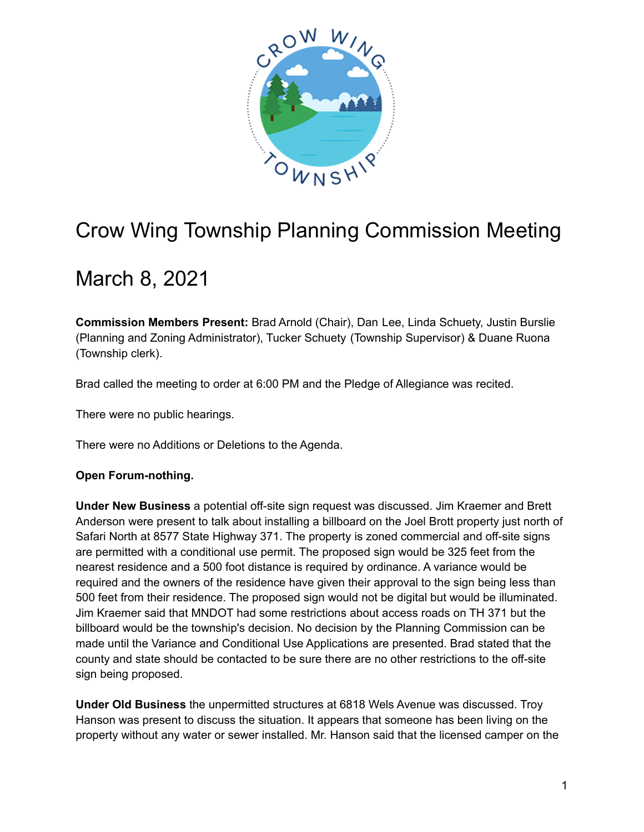

## Crow Wing Township Planning Commission Meeting

## March 8, 2021

**Commission Members Present:** Brad Arnold (Chair), Dan Lee, Linda Schuety, Justin Burslie (Planning and Zoning Administrator), Tucker Schuety (Township Supervisor) & Duane Ruona (Township clerk).

Brad called the meeting to order at 6:00 PM and the Pledge of Allegiance was recited.

There were no public hearings.

There were no Additions or Deletions to the Agenda.

## **Open Forum-nothing.**

**Under New Business** a potential off-site sign request was discussed. Jim Kraemer and Brett Anderson were present to talk about installing a billboard on the Joel Brott property just north of Safari North at 8577 State Highway 371. The property is zoned commercial and off-site signs are permitted with a conditional use permit. The proposed sign would be 325 feet from the nearest residence and a 500 foot distance is required by ordinance. A variance would be required and the owners of the residence have given their approval to the sign being less than 500 feet from their residence. The proposed sign would not be digital but would be illuminated. Jim Kraemer said that MNDOT had some restrictions about access roads on TH 371 but the billboard would be the township's decision. No decision by the Planning Commission can be made until the Variance and Conditional Use Applications are presented. Brad stated that the county and state should be contacted to be sure there are no other restrictions to the off-site sign being proposed.

**Under Old Business** the unpermitted structures at 6818 Wels Avenue was discussed. Troy Hanson was present to discuss the situation. It appears that someone has been living on the property without any water or sewer installed. Mr. Hanson said that the licensed camper on the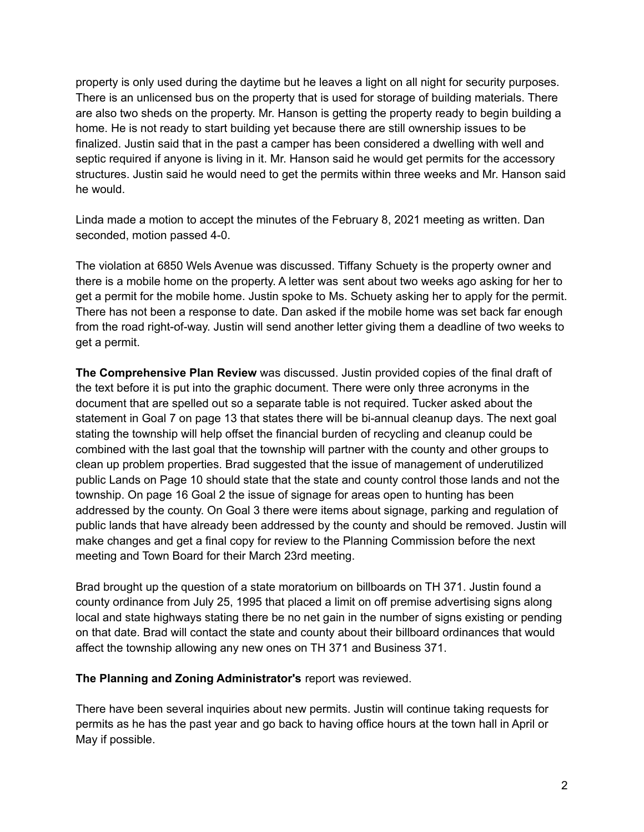property is only used during the daytime but he leaves a light on all night for security purposes. There is an unlicensed bus on the property that is used for storage of building materials. There are also two sheds on the property. Mr. Hanson is getting the property ready to begin building a home. He is not ready to start building yet because there are still ownership issues to be finalized. Justin said that in the past a camper has been considered a dwelling with well and septic required if anyone is living in it. Mr. Hanson said he would get permits for the accessory structures. Justin said he would need to get the permits within three weeks and Mr. Hanson said he would.

Linda made a motion to accept the minutes of the February 8, 2021 meeting as written. Dan seconded, motion passed 4-0.

The violation at 6850 Wels Avenue was discussed. Tiffany Schuety is the property owner and there is a mobile home on the property. A letter was sent about two weeks ago asking for her to get a permit for the mobile home. Justin spoke to Ms. Schuety asking her to apply for the permit. There has not been a response to date. Dan asked if the mobile home was set back far enough from the road right-of-way. Justin will send another letter giving them a deadline of two weeks to get a permit.

**The Comprehensive Plan Review** was discussed. Justin provided copies of the final draft of the text before it is put into the graphic document. There were only three acronyms in the document that are spelled out so a separate table is not required. Tucker asked about the statement in Goal 7 on page 13 that states there will be bi-annual cleanup days. The next goal stating the township will help offset the financial burden of recycling and cleanup could be combined with the last goal that the township will partner with the county and other groups to clean up problem properties. Brad suggested that the issue of management of underutilized public Lands on Page 10 should state that the state and county control those lands and not the township. On page 16 Goal 2 the issue of signage for areas open to hunting has been addressed by the county. On Goal 3 there were items about signage, parking and regulation of public lands that have already been addressed by the county and should be removed. Justin will make changes and get a final copy for review to the Planning Commission before the next meeting and Town Board for their March 23rd meeting.

Brad brought up the question of a state moratorium on billboards on TH 371. Justin found a county ordinance from July 25, 1995 that placed a limit on off premise advertising signs along local and state highways stating there be no net gain in the number of signs existing or pending on that date. Brad will contact the state and county about their billboard ordinances that would affect the township allowing any new ones on TH 371 and Business 371.

## **The Planning and Zoning Administrator's** report was reviewed.

There have been several inquiries about new permits. Justin will continue taking requests for permits as he has the past year and go back to having office hours at the town hall in April or May if possible.